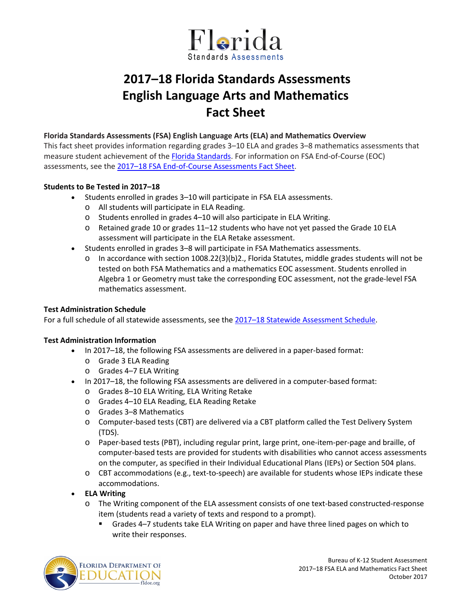

# **2017–18 Florida Standards Assessments English Language Arts and Mathematics Fact Sheet**

### **Florida Standards Assessments (FSA) English Language Arts (ELA) and Mathematics Overview**

This fact sheet provides information regarding grades 3–10 ELA and grades 3–8 mathematics assessments that measure student achievement of th[e Florida Standards.](http://www.cpalms.org/Public/) For information on FSA End-of-Course (EOC) assessments, see the 2017–18 [FSA End-of-Course Assessments Fact Sheet.](http://www.fldoe.org/core/fileparse.php/5663/urlt/FSAEOCFS1718.pdf)

## **Students to Be Tested in 2017–18**

- Students enrolled in grades 3–10 will participate in FSA ELA assessments.
	- o All students will participate in ELA Reading.
	- o Students enrolled in grades 4–10 will also participate in ELA Writing.
	- o Retained grade 10 or grades 11–12 students who have not yet passed the Grade 10 ELA assessment will participate in the ELA Retake assessment.
- Students enrolled in grades 3–8 will participate in FSA Mathematics assessments.
	- $\circ$  In accordance with section 1008.22(3)(b)2., Florida Statutes, middle grades students will not be tested on both FSA Mathematics and a mathematics EOC assessment. Students enrolled in Algebra 1 or Geometry must take the corresponding EOC assessment, not the grade-level FSA mathematics assessment.

#### **Test Administration Schedule**

For a full schedule of all statewide assessments, see the 2017–18 [Statewide Assessment Schedule.](https://info.fldoe.org/docushare/dsweb/Get/Document-7972/dps-2017-84a.pdf)

#### **Test Administration Information**

- In 2017–18, the following FSA assessments are delivered in a paper-based format:
	- o Grade 3 ELA Reading
	- o Grades 4–7 ELA Writing
- In 2017–18, the following FSA assessments are delivered in a computer-based format:
	- o Grades 8–10 ELA Writing, ELA Writing Retake
	- o Grades 4–10 ELA Reading, ELA Reading Retake
	- o Grades 3–8 Mathematics
	- o Computer-based tests (CBT) are delivered via a CBT platform called the Test Delivery System (TDS).
	- o Paper-based tests (PBT), including regular print, large print, one-item-per-page and braille, of computer-based tests are provided for students with disabilities who cannot access assessments on the computer, as specified in their Individual Educational Plans (IEPs) or Section 504 plans.
	- o CBT accommodations (e.g., text-to-speech) are available for students whose IEPs indicate these accommodations.

## • **ELA Writing**

- o The Writing component of the ELA assessment consists of one text-based constructed-response item (students read a variety of texts and respond to a prompt).
	- Grades 4–7 students take ELA Writing on paper and have three lined pages on which to write their responses.

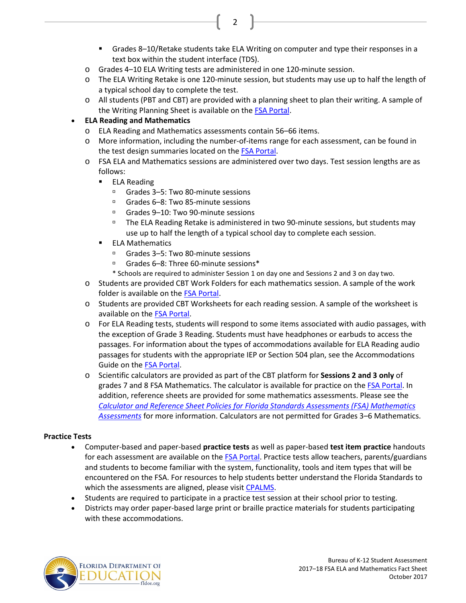- Grades 8–10/Retake students take ELA Writing on computer and type their responses in a text box within the student interface (TDS).
- o Grades 4–10 ELA Writing tests are administered in one 120-minute session.

2

- o The ELA Writing Retake is one 120-minute session, but students may use up to half the length of a typical school day to complete the test.
- o All students (PBT and CBT) are provided with a planning sheet to plan their writing. A sample of the Writing Planning Sheet is available on th[e FSA Portal](http://fsassessments.org/).
- **ELA Reading and Mathematics** 
	- o ELA Reading and Mathematics assessments contain 56–66 items.
	- o More information, including the number-of-items range for each assessment, can be found in the test design summaries located on the [FSA Portal.](http://fsassessments.org/)
	- o FSA ELA and Mathematics sessions are administered over two days. Test session lengths are as follows:
		- **ELA Reading** 
			- Grades 3–5: Two 80-minute sessions
			- □ Grades 6–8: Two 85-minute sessions
			- □ Grades 9–10: Two 90-minute sessions
			- The ELA Reading Retake is administered in two 90-minute sessions, but students may use up to half the length of a typical school day to complete each session.
		- ELA Mathematics
			- Grades 3–5: Two 80-minute sessions
			- Grades 6–8: Three 60-minute sessions\*
			- \* Schools are required to administer Session 1 on day one and Sessions 2 and 3 on day two.
	- o Students are provided CBT Work Folders for each mathematics session. A sample of the work folder is available on th[e FSA Portal.](http://fsassessments.org/)
	- o Students are provided CBT Worksheets for each reading session. A sample of the worksheet is available on the [FSA Portal.](http://fsassessments.org/)
	- o For ELA Reading tests, students will respond to some items associated with audio passages, with the exception of Grade 3 Reading. Students must have headphones or earbuds to access the passages. For information about the types of accommodations available for ELA Reading audio passages for students with the appropriate IEP or Section 504 plan, see the Accommodations Guide on the [FSA Portal.](http://www.fsassessments.org/students-and-families/)
	- o Scientific calculators are provided as part of the CBT platform for **Sessions 2 and 3 only** of grades 7 and 8 FSA Mathematics. The calculator is available for practice on th[e FSA Portal.](http://www.fsassessments.org/) In addition, reference sheets are provided for some mathematics assessments. Please see the *[Calculator and Reference Sheet Policies for Florida Standards Assessments \(FSA\) Mathematics](http://www.fsassessments.org/wp-content/uploads/2014/06/FSA-Calculator-and-Reference-Sheet-Policy-Updated-07062016.pdf)  [Assessments](http://www.fsassessments.org/wp-content/uploads/2014/06/FSA-Calculator-and-Reference-Sheet-Policy-Updated-07062016.pdf)* for more information. Calculators are not permitted for Grades 3–6 Mathematics.

## **Practice Tests**

- Computer-based and paper-based **practice tests** as well as paper-based **test item practice** handouts for each assessment are available on the [FSA Portal.](http://fsassessments.org/) Practice tests allow teachers, parents/guardians and students to become familiar with the system, functionality, tools and item types that will be encountered on the FSA. For resources to help students better understand the Florida Standards to which the assessments are aligned, please visit [CPALMS.](http://www.floridastandards.org/)
- Students are required to participate in a practice test session at their school prior to testing.
- Districts may order paper-based large print or braille practice materials for students participating with these accommodations.

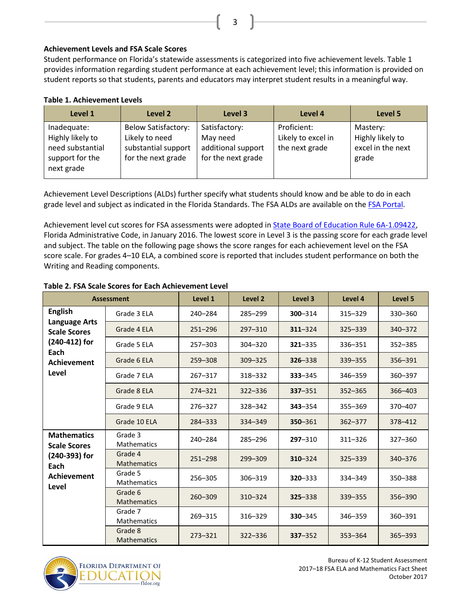## **Achievement Levels and FSA Scale Scores**

Student performance on Florida's statewide assessments is categorized into five achievement levels. Table 1 provides information regarding student performance at each achievement level; this information is provided on student reports so that students, parents and educators may interpret student results in a meaningful way.

3

### **Table 1. Achievement Levels**

| Level 1                                                                              | Level 2                                                                                   | Level 3                                                               | Level 4                                             | Level 5                                                    |
|--------------------------------------------------------------------------------------|-------------------------------------------------------------------------------------------|-----------------------------------------------------------------------|-----------------------------------------------------|------------------------------------------------------------|
| Inadequate:<br>Highly likely to<br>need substantial<br>support for the<br>next grade | <b>Below Satisfactory:</b><br>Likely to need<br>substantial support<br>for the next grade | Satisfactory:<br>May need<br>additional support<br>for the next grade | Proficient:<br>Likely to excel in<br>the next grade | Mastery:<br>Highly likely to<br>excel in the next<br>grade |

Achievement Level Descriptions (ALDs) further specify what students should know and be able to do in each grade level and subject as indicated in the Florida Standards. The FSA ALDs are available on the [FSA Portal.](http://www.fsassessments.org/)

Achievement level cut scores for FSA assessments were adopted in [State Board of Education Rule 6A-1.09422,](https://www.flrules.org/gateway/ruleNo.asp?id=6A-1.094222) Florida Administrative Code, in January 2016. The lowest score in Level 3 is the passing score for each grade level and subject. The table on the following page shows the score ranges for each achievement level on the FSA score scale. For grades 4–10 ELA, a combined score is reported that includes student performance on both the Writing and Reading components.

| Assessment                                                                                                            |                               | Level 1     | Level 2     | Level 3     | Level 4     | Level 5     |
|-----------------------------------------------------------------------------------------------------------------------|-------------------------------|-------------|-------------|-------------|-------------|-------------|
| <b>English</b><br><b>Language Arts</b><br><b>Scale Scores</b><br>(240-412) for<br>Each<br><b>Achievement</b><br>Level | Grade 3 ELA                   | 240-284     | 285-299     | 300-314     | 315-329     | 330-360     |
|                                                                                                                       | Grade 4 ELA                   | $251 - 296$ | $297 - 310$ | $311 - 324$ | 325-339     | 340-372     |
|                                                                                                                       | Grade 5 ELA                   | $257 - 303$ | $304 - 320$ | $321 - 335$ | 336-351     | $352 - 385$ |
|                                                                                                                       | Grade 6 ELA                   | $259 - 308$ | 309-325     | 326-338     | 339-355     | 356-391     |
|                                                                                                                       | Grade 7 ELA                   | $267 - 317$ | 318-332     | 333-345     | 346-359     | 360-397     |
|                                                                                                                       | Grade 8 ELA                   | $274 - 321$ | $322 - 336$ | $337 - 351$ | $352 - 365$ | 366-403     |
|                                                                                                                       | Grade 9 ELA                   | 276-327     | 328-342     | $343 - 354$ | 355-369     | 370-407     |
|                                                                                                                       | Grade 10 ELA                  | 284-333     | 334-349     | 350-361     | $362 - 377$ | 378-412     |
| <b>Mathematics</b><br><b>Scale Scores</b><br>(240-393) for<br>Each<br><b>Achievement</b><br>Level                     | Grade 3<br><b>Mathematics</b> | 240-284     | 285-296     | $297 - 310$ | $311 - 326$ | 327-360     |
|                                                                                                                       | Grade 4<br><b>Mathematics</b> | $251 - 298$ | 299-309     | 310-324     | 325-339     | 340-376     |
|                                                                                                                       | Grade 5<br><b>Mathematics</b> | 256-305     | 306-319     | 320-333     | 334-349     | 350-388     |
|                                                                                                                       | Grade 6<br><b>Mathematics</b> | 260-309     | 310-324     | $325 - 338$ | 339 - 355   | 356-390     |
|                                                                                                                       | Grade 7<br><b>Mathematics</b> | 269-315     | 316-329     | 330-345     | 346-359     | 360-391     |
|                                                                                                                       | Grade 8<br><b>Mathematics</b> | $273 - 321$ | $322 - 336$ | $337 - 352$ | $353 - 364$ | $365 - 393$ |

## **Table 2. FSA Scale Scores for Each Achievement Level**